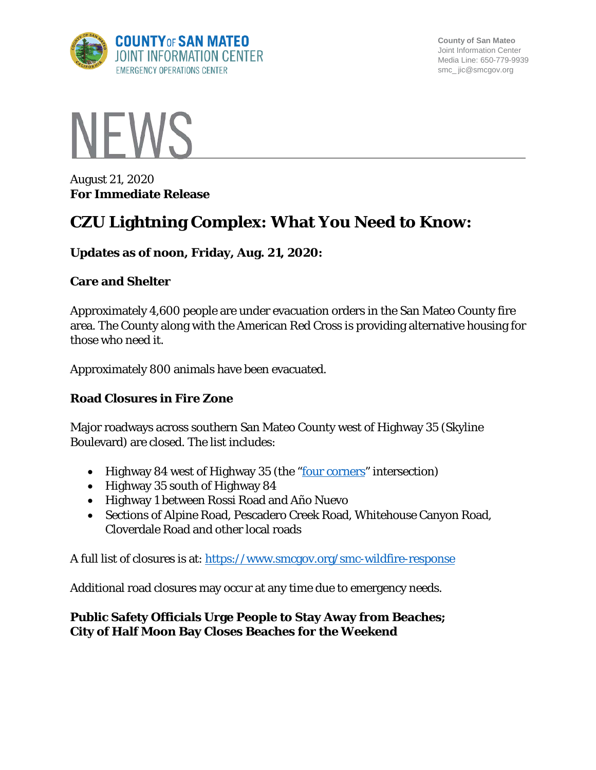

**County of San Mateo** Joint Information Center Media Line: 650-779-9939 smc\_ jic@smcgov.org



August 21, 2020 **For Immediate Release**

# **CZU Lightning Complex: What You Need to Know:**

## **Updates as of noon, Friday, Aug. 21, 2020:**

### **Care and Shelter**

Approximately 4,600 people are under evacuation orders in the San Mateo County fire area. The County along with the American Red Cross is providing alternative housing for those who need it.

Approximately 800 animals have been evacuated.

### **Road Closures in Fire Zone**

Major roadways across southern San Mateo County west of Highway 35 (Skyline Boulevard) are closed. The list includes:

- Highway 84 west of Highway 35 (the ["four corners"](https://goo.gl/maps/u7sqicXnAT8w2BWj8) intersection)
- Highway 35 south of Highway 84
- Highway 1 between Rossi Road and Año Nuevo
- Sections of Alpine Road, Pescadero Creek Road, Whitehouse Canyon Road, Cloverdale Road and other local roads

A full list of closures is at:<https://www.smcgov.org/smc-wildfire-response>

Additional road closures may occur at any time due to emergency needs.

## **Public Safety Officials Urge People to Stay Away from Beaches; City of Half Moon Bay Closes Beaches for the Weekend**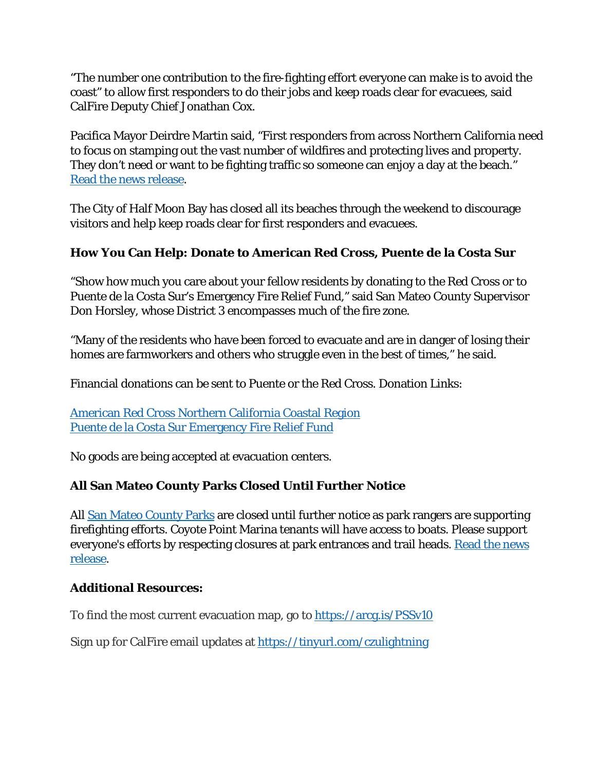"The number one contribution to the fire-fighting effort everyone can make is to avoid the coast" to allow first responders to do their jobs and keep roads clear for evacuees, said CalFire Deputy Chief Jonathan Cox.

Pacifica Mayor Deirdre Martin said, "First responders from across Northern California need to focus on stamping out the vast number of wildfires and protecting lives and property. They don't need or want to be fighting traffic so someone can enjoy a day at the beach." [Read the news release.](https://cmo.smcgov.org/press-release/aug-21-2020-public-safety-officials-urge-people-keep-coastal-roads-clear-first)

The City of Half Moon Bay has closed all its beaches through the weekend to discourage visitors and help keep roads clear for first responders and evacuees.

# **How You Can Help: Donate to American Red Cross, Puente de la Costa Sur**

"Show how much you care about your fellow residents by donating to the Red Cross or to Puente de la Costa Sur's Emergency Fire Relief Fund," said San Mateo County Supervisor Don Horsley, whose District 3 encompasses much of the fire zone.

"Many of the residents who have been forced to evacuate and are in danger of losing their homes are farmworkers and others who struggle even in the best of times," he said.

Financial donations can be sent to Puente or the Red Cross. Donation Links:

[American Red Cross Northern California Coastal Region](https://www.redcross.org/local/california/northern-california-coastal.html) [Puente de la Costa Sur Emergency Fire Relief Fund](https://mailchi.mp/mypuente.org/fire-relief-200819?fbclid=IwAR2ZwI_3POQpielrGiMjPIeYZdqjlJEs-Z0WAk4rZH7NH1JB9XCzYWIWU4g)

No goods are being accepted at evacuation centers.

# **All San Mateo County Parks Closed Until Further Notice**

All [San Mateo County Parks](https://www.smcgov.org/sites/smcgov.org/files/SMCoParksClose_CZULightningComplex.8.20.20.News%20Release.pdf) are closed until further notice as park rangers are supporting firefighting efforts. Coyote Point Marina tenants will have access to boats. Please support everyone's efforts by respecting closures at park entrances and trail heads. Read the news [release.](https://www.smcgov.org/sites/smcgov.org/files/SMCoParksClose_CZULightningComplex.8.20.20.News%20Release.pdf)

### **Additional Resources:**

To find the most current evacuation map, go to<https://arcg.is/PSSv10>

Sign up for CalFire email updates at <https://tinyurl.com/czulightning>